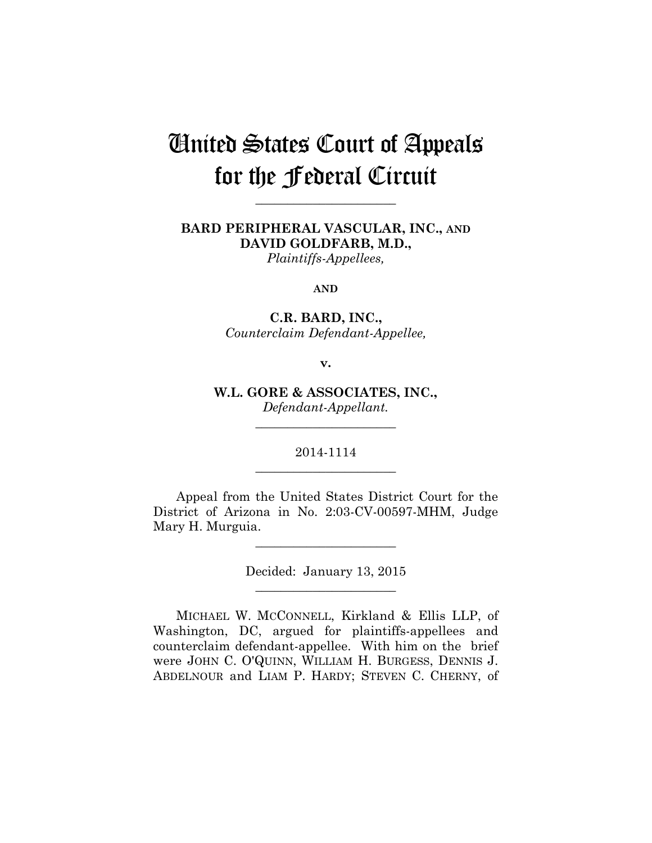# United States Court of Appeals for the Federal Circuit

**\_\_\_\_\_\_\_\_\_\_\_\_\_\_\_\_\_\_\_\_\_\_** 

**BARD PERIPHERAL VASCULAR, INC., AND DAVID GOLDFARB, M.D.,**  *Plaintiffs-Appellees,* 

**AND**

**C.R. BARD, INC.,** *Counterclaim Defendant-Appellee,*

**v.**

**W.L. GORE & ASSOCIATES, INC.,** *Defendant-Appellant.*

\_\_\_\_\_\_\_\_\_\_\_\_\_\_\_\_\_\_\_\_\_\_

2014-1114 **\_\_\_\_\_\_\_\_\_\_\_\_\_\_\_\_\_\_\_\_\_\_** 

Appeal from the United States District Court for the District of Arizona in No. 2:03-CV-00597-MHM, Judge Mary H. Murguia.

**\_\_\_\_\_\_\_\_\_\_\_\_\_\_\_\_\_\_\_\_\_\_** 

Decided: January 13, 2015 **\_\_\_\_\_\_\_\_\_\_\_\_\_\_\_\_\_\_\_\_\_\_** 

MICHAEL W. MCCONNELL, Kirkland & Ellis LLP, of Washington, DC, argued for plaintiffs-appellees and counterclaim defendant-appellee. With him on the brief were JOHN C. O'QUINN, WILLIAM H. BURGESS, DENNIS J. ABDELNOUR and LIAM P. HARDY; STEVEN C. CHERNY, of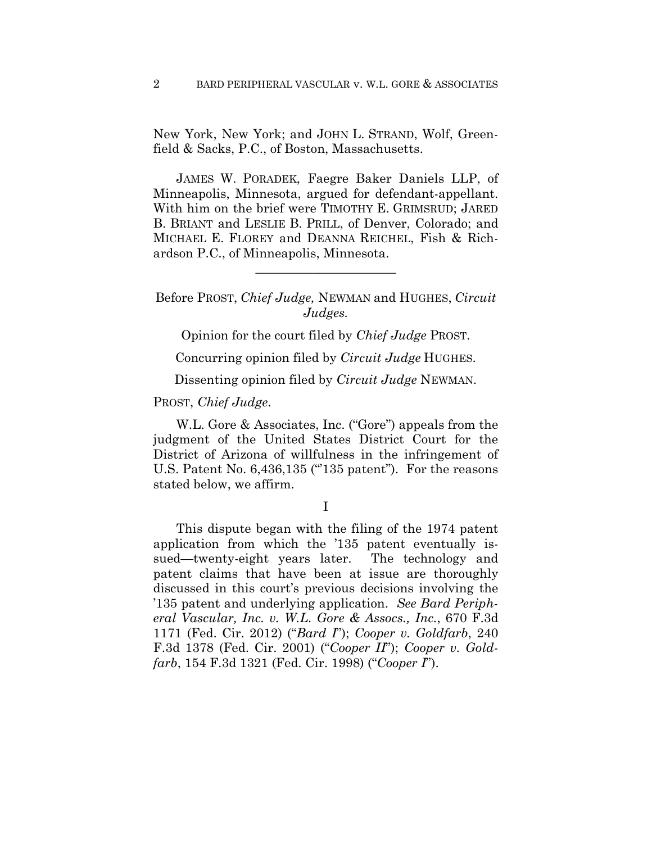New York, New York; and JOHN L. STRAND, Wolf, Greenfield & Sacks, P.C., of Boston, Massachusetts.

JAMES W. PORADEK, Faegre Baker Daniels LLP, of Minneapolis, Minnesota, argued for defendant-appellant. With him on the brief were TIMOTHY E. GRIMSRUD; JARED B. BRIANT and LESLIE B. PRILL, of Denver, Colorado; and MICHAEL E. FLOREY and DEANNA REICHEL, Fish & Richardson P.C., of Minneapolis, Minnesota.

Before PROST, *Chief Judge,* NEWMAN and HUGHES, *Circuit Judges.*

**\_\_\_\_\_\_\_\_\_\_\_\_\_\_\_\_\_\_\_\_\_\_** 

Opinion for the court filed by *Chief Judge* PROST.

Concurring opinion filed by *Circuit Judge* HUGHES.

Dissenting opinion filed by *Circuit Judge* NEWMAN.

#### PROST, *Chief Judge*.

W.L. Gore & Associates, Inc. ("Gore") appeals from the judgment of the United States District Court for the District of Arizona of willfulness in the infringement of U.S. Patent No. 6,436,135 ("135 patent"). For the reasons stated below, we affirm.

I

This dispute began with the filing of the 1974 patent application from which the '135 patent eventually issued—twenty-eight years later. The technology and patent claims that have been at issue are thoroughly discussed in this court's previous decisions involving the '135 patent and underlying application. *See Bard Peripheral Vascular, Inc. v. W.L. Gore & Assocs., Inc.*, 670 F.3d 1171 (Fed. Cir. 2012) ("*Bard I*"); *Cooper v. Goldfarb*, 240 F.3d 1378 (Fed. Cir. 2001) ("*Cooper II*"); *Cooper v. Goldfarb*, 154 F.3d 1321 (Fed. Cir. 1998) ("*Cooper I*").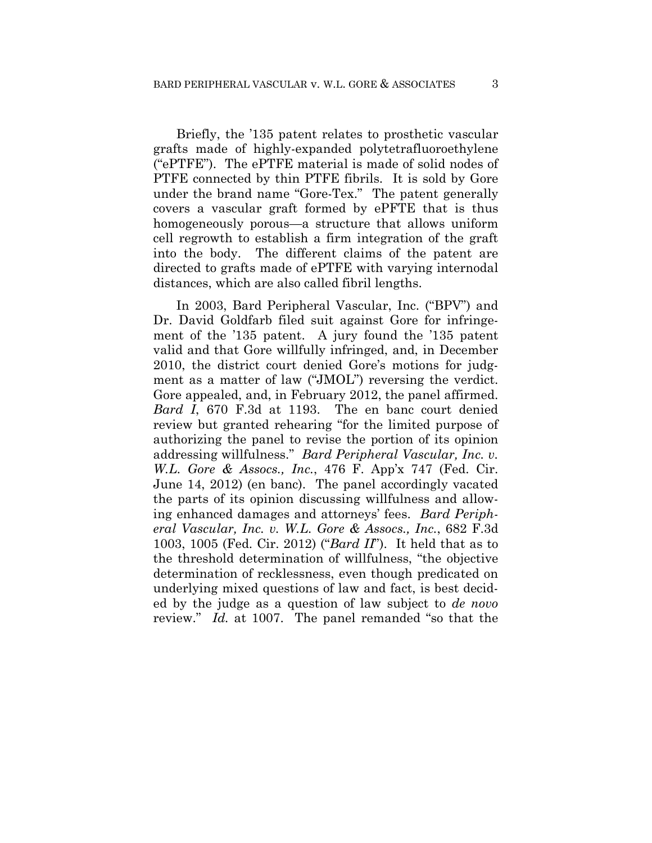Briefly, the '135 patent relates to prosthetic vascular grafts made of highly-expanded polytetrafluoroethylene ("ePTFE"). The ePTFE material is made of solid nodes of PTFE connected by thin PTFE fibrils. It is sold by Gore under the brand name "Gore-Tex." The patent generally covers a vascular graft formed by ePFTE that is thus homogeneously porous—a structure that allows uniform cell regrowth to establish a firm integration of the graft into the body. The different claims of the patent are directed to grafts made of ePTFE with varying internodal distances, which are also called fibril lengths.

In 2003, Bard Peripheral Vascular, Inc. ("BPV") and Dr. David Goldfarb filed suit against Gore for infringement of the '135 patent. A jury found the '135 patent valid and that Gore willfully infringed, and, in December 2010, the district court denied Gore's motions for judgment as a matter of law ("JMOL") reversing the verdict. Gore appealed, and, in February 2012, the panel affirmed. *Bard I*, 670 F.3d at 1193. The en banc court denied review but granted rehearing "for the limited purpose of authorizing the panel to revise the portion of its opinion addressing willfulness." *Bard Peripheral Vascular, Inc. v. W.L. Gore & Assocs., Inc.*, 476 F. App'x 747 (Fed. Cir. June 14, 2012) (en banc). The panel accordingly vacated the parts of its opinion discussing willfulness and allowing enhanced damages and attorneys' fees. *Bard Peripheral Vascular, Inc. v. W.L. Gore & Assocs., Inc.*, 682 F.3d 1003, 1005 (Fed. Cir. 2012) ("*Bard II*"). It held that as to the threshold determination of willfulness, "the objective determination of recklessness, even though predicated on underlying mixed questions of law and fact, is best decided by the judge as a question of law subject to *de novo* review." *Id.* at 1007. The panel remanded "so that the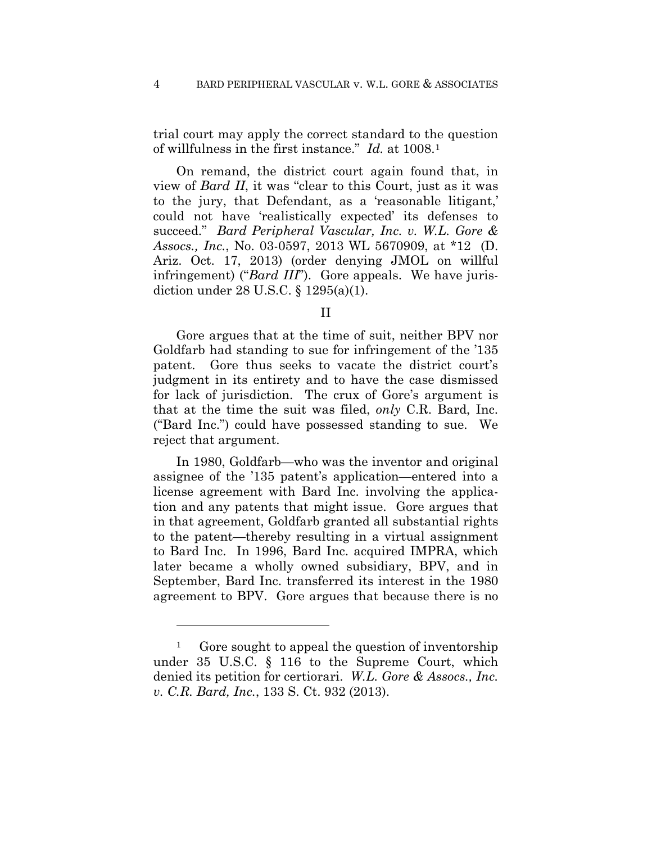trial court may apply the correct standard to the question of willfulness in the first instance." *Id.* at 1008.1

On remand, the district court again found that, in view of *Bard II*, it was "clear to this Court, just as it was to the jury, that Defendant, as a 'reasonable litigant,' could not have 'realistically expected' its defenses to succeed." *Bard Peripheral Vascular, Inc. v. W.L. Gore & Assocs., Inc.*, No. 03-0597, 2013 WL 5670909, at \*12 (D. Ariz. Oct. 17, 2013) (order denying JMOL on willful infringement) ("*Bard III*"). Gore appeals. We have jurisdiction under 28 U.S.C. § 1295(a)(1).

II

Gore argues that at the time of suit, neither BPV nor Goldfarb had standing to sue for infringement of the '135 patent. Gore thus seeks to vacate the district court's judgment in its entirety and to have the case dismissed for lack of jurisdiction. The crux of Gore's argument is that at the time the suit was filed, *only* C.R. Bard, Inc. ("Bard Inc.") could have possessed standing to sue. We reject that argument.

In 1980, Goldfarb—who was the inventor and original assignee of the '135 patent's application—entered into a license agreement with Bard Inc. involving the application and any patents that might issue. Gore argues that in that agreement, Goldfarb granted all substantial rights to the patent—thereby resulting in a virtual assignment to Bard Inc. In 1996, Bard Inc. acquired IMPRA, which later became a wholly owned subsidiary, BPV, and in September, Bard Inc. transferred its interest in the 1980 agreement to BPV. Gore argues that because there is no

<u>.</u>

<sup>&</sup>lt;sup>1</sup> Gore sought to appeal the question of inventorship under 35 U.S.C. § 116 to the Supreme Court, which denied its petition for certiorari. *W.L. Gore & Assocs., Inc. v. C.R. Bard, Inc.*, 133 S. Ct. 932 (2013).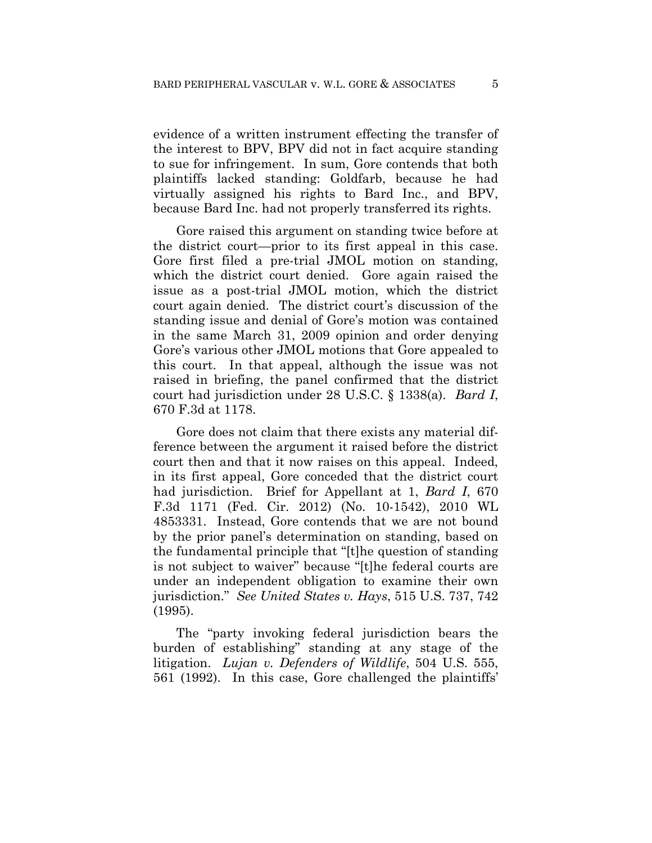evidence of a written instrument effecting the transfer of the interest to BPV, BPV did not in fact acquire standing to sue for infringement. In sum, Gore contends that both plaintiffs lacked standing: Goldfarb, because he had virtually assigned his rights to Bard Inc., and BPV, because Bard Inc. had not properly transferred its rights.

Gore raised this argument on standing twice before at the district court—prior to its first appeal in this case. Gore first filed a pre-trial JMOL motion on standing, which the district court denied. Gore again raised the issue as a post-trial JMOL motion, which the district court again denied. The district court's discussion of the standing issue and denial of Gore's motion was contained in the same March 31, 2009 opinion and order denying Gore's various other JMOL motions that Gore appealed to this court. In that appeal, although the issue was not raised in briefing, the panel confirmed that the district court had jurisdiction under 28 U.S.C. § 1338(a). *Bard I*, 670 F.3d at 1178.

Gore does not claim that there exists any material difference between the argument it raised before the district court then and that it now raises on this appeal. Indeed, in its first appeal, Gore conceded that the district court had jurisdiction. Brief for Appellant at 1, *Bard I*, 670 F.3d 1171 (Fed. Cir. 2012) (No. 10-1542), 2010 WL 4853331. Instead, Gore contends that we are not bound by the prior panel's determination on standing, based on the fundamental principle that "[t]he question of standing is not subject to waiver" because "[t]he federal courts are under an independent obligation to examine their own jurisdiction." *See United States v. Hays*, 515 U.S. 737, 742 (1995).

The "party invoking federal jurisdiction bears the burden of establishing" standing at any stage of the litigation. *Lujan v. Defenders of Wildlife*, 504 U.S. 555, 561 (1992). In this case, Gore challenged the plaintiffs'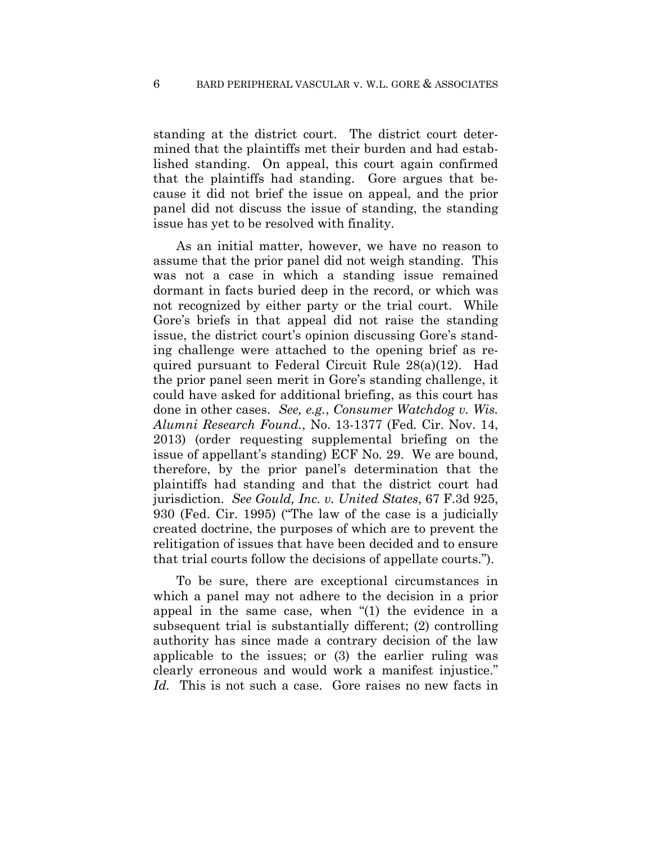standing at the district court. The district court determined that the plaintiffs met their burden and had established standing. On appeal, this court again confirmed that the plaintiffs had standing. Gore argues that because it did not brief the issue on appeal, and the prior panel did not discuss the issue of standing, the standing issue has yet to be resolved with finality.

As an initial matter, however, we have no reason to assume that the prior panel did not weigh standing. This was not a case in which a standing issue remained dormant in facts buried deep in the record, or which was not recognized by either party or the trial court. While Gore's briefs in that appeal did not raise the standing issue, the district court's opinion discussing Gore's standing challenge were attached to the opening brief as required pursuant to Federal Circuit Rule 28(a)(12). Had the prior panel seen merit in Gore's standing challenge, it could have asked for additional briefing, as this court has done in other cases. *See, e.g.*, *Consumer Watchdog v. Wis. Alumni Research Found.*, No. 13-1377 (Fed. Cir. Nov. 14, 2013) (order requesting supplemental briefing on the issue of appellant's standing) ECF No. 29. We are bound, therefore, by the prior panel's determination that the plaintiffs had standing and that the district court had jurisdiction. *See Gould, Inc. v. United States*, 67 F.3d 925, 930 (Fed. Cir. 1995) ("The law of the case is a judicially created doctrine, the purposes of which are to prevent the relitigation of issues that have been decided and to ensure that trial courts follow the decisions of appellate courts.").

To be sure, there are exceptional circumstances in which a panel may not adhere to the decision in a prior appeal in the same case, when "(1) the evidence in a subsequent trial is substantially different; (2) controlling authority has since made a contrary decision of the law applicable to the issues; or (3) the earlier ruling was clearly erroneous and would work a manifest injustice." *Id.* This is not such a case. Gore raises no new facts in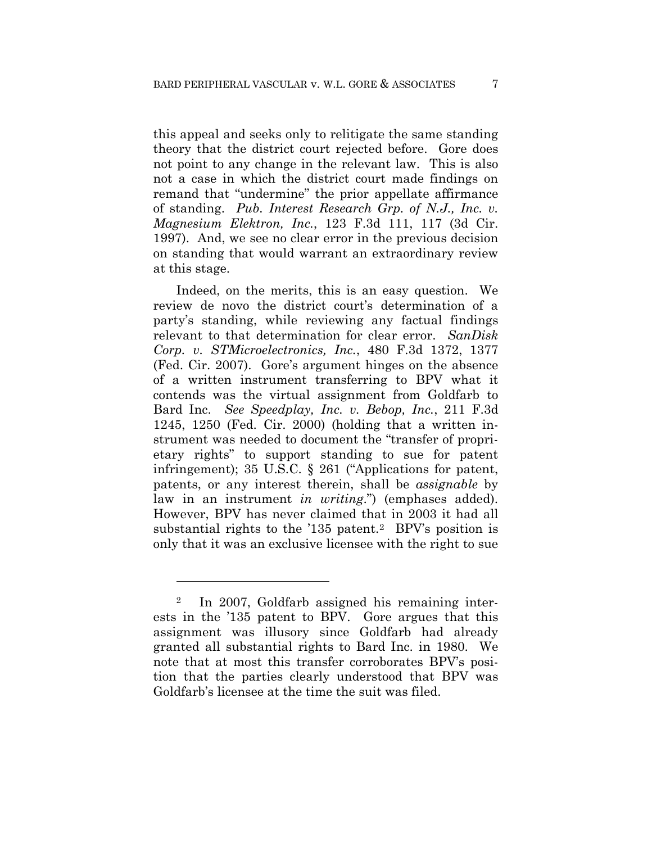this appeal and seeks only to relitigate the same standing theory that the district court rejected before. Gore does not point to any change in the relevant law. This is also not a case in which the district court made findings on remand that "undermine" the prior appellate affirmance of standing. *Pub. Interest Research Grp. of N.J., Inc. v. Magnesium Elektron, Inc.*, 123 F.3d 111, 117 (3d Cir. 1997). And, we see no clear error in the previous decision on standing that would warrant an extraordinary review at this stage.

Indeed, on the merits, this is an easy question. We review de novo the district court's determination of a party's standing, while reviewing any factual findings relevant to that determination for clear error. *SanDisk Corp. v. STMicroelectronics, Inc.*, 480 F.3d 1372, 1377 (Fed. Cir. 2007). Gore's argument hinges on the absence of a written instrument transferring to BPV what it contends was the virtual assignment from Goldfarb to Bard Inc. *See Speedplay, Inc. v. Bebop, Inc.*, 211 F.3d 1245, 1250 (Fed. Cir. 2000) (holding that a written instrument was needed to document the "transfer of proprietary rights" to support standing to sue for patent infringement); 35 U.S.C. § 261 ("Applications for patent, patents, or any interest therein, shall be *assignable* by law in an instrument *in writing*.") (emphases added). However, BPV has never claimed that in 2003 it had all substantial rights to the '135 patent.<sup>2</sup> BPV's position is only that it was an exclusive licensee with the right to sue

<u>.</u>

In 2007, Goldfarb assigned his remaining interests in the '135 patent to BPV. Gore argues that this assignment was illusory since Goldfarb had already granted all substantial rights to Bard Inc. in 1980. We note that at most this transfer corroborates BPV's position that the parties clearly understood that BPV was Goldfarb's licensee at the time the suit was filed.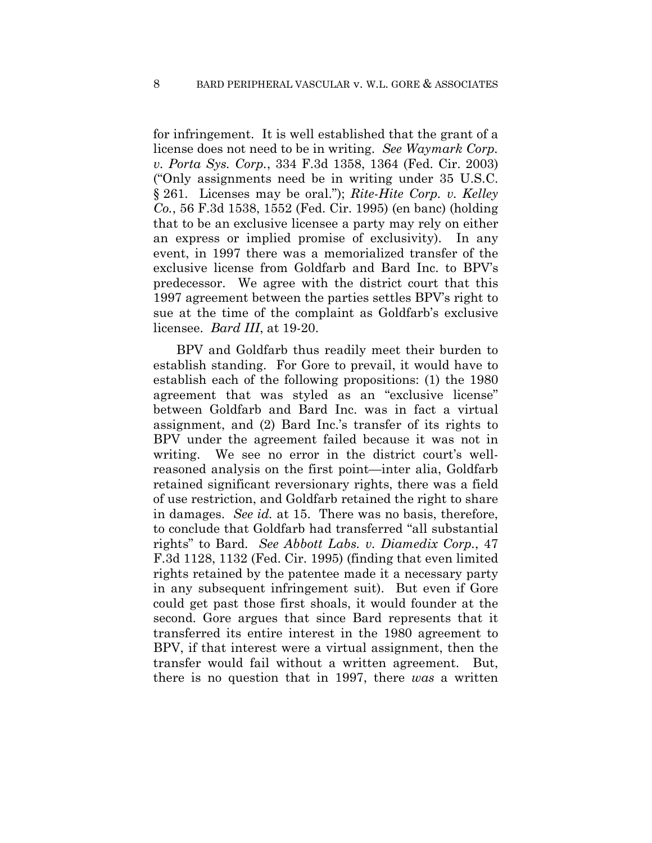for infringement. It is well established that the grant of a license does not need to be in writing. *See Waymark Corp. v. Porta Sys. Corp.*, 334 F.3d 1358, 1364 (Fed. Cir. 2003) ("Only assignments need be in writing under 35 U.S.C. § 261. Licenses may be oral."); *Rite-Hite Corp. v. Kelley Co.*, 56 F.3d 1538, 1552 (Fed. Cir. 1995) (en banc) (holding that to be an exclusive licensee a party may rely on either an express or implied promise of exclusivity). In any event, in 1997 there was a memorialized transfer of the exclusive license from Goldfarb and Bard Inc. to BPV's predecessor. We agree with the district court that this 1997 agreement between the parties settles BPV's right to sue at the time of the complaint as Goldfarb's exclusive licensee. *Bard III*, at 19-20.

BPV and Goldfarb thus readily meet their burden to establish standing. For Gore to prevail, it would have to establish each of the following propositions: (1) the 1980 agreement that was styled as an "exclusive license" between Goldfarb and Bard Inc. was in fact a virtual assignment, and (2) Bard Inc.'s transfer of its rights to BPV under the agreement failed because it was not in writing. We see no error in the district court's wellreasoned analysis on the first point—inter alia, Goldfarb retained significant reversionary rights, there was a field of use restriction, and Goldfarb retained the right to share in damages. *See id.* at 15. There was no basis, therefore, to conclude that Goldfarb had transferred "all substantial rights" to Bard. *See Abbott Labs. v. Diamedix Corp.*, 47 F.3d 1128, 1132 (Fed. Cir. 1995) (finding that even limited rights retained by the patentee made it a necessary party in any subsequent infringement suit). But even if Gore could get past those first shoals, it would founder at the second. Gore argues that since Bard represents that it transferred its entire interest in the 1980 agreement to BPV, if that interest were a virtual assignment, then the transfer would fail without a written agreement. But, there is no question that in 1997, there *was* a written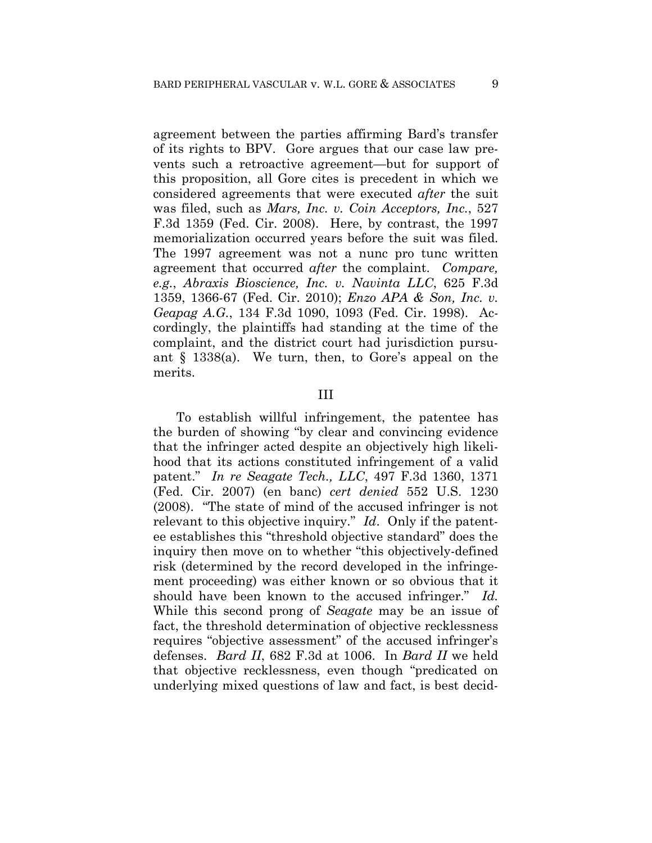agreement between the parties affirming Bard's transfer of its rights to BPV. Gore argues that our case law prevents such a retroactive agreement—but for support of this proposition, all Gore cites is precedent in which we considered agreements that were executed *after* the suit was filed, such as *Mars, Inc. v. Coin Acceptors, Inc.*, 527 F.3d 1359 (Fed. Cir. 2008). Here, by contrast, the 1997 memorialization occurred years before the suit was filed. The 1997 agreement was not a nunc pro tunc written agreement that occurred *after* the complaint. *Compare, e.g.*, *Abraxis Bioscience, Inc. v. Navinta LLC*, 625 F.3d 1359, 1366-67 (Fed. Cir. 2010); *Enzo APA & Son, Inc. v. Geapag A.G.*, 134 F.3d 1090, 1093 (Fed. Cir. 1998). Accordingly, the plaintiffs had standing at the time of the complaint, and the district court had jurisdiction pursuant § 1338(a). We turn, then, to Gore's appeal on the merits.

### III

To establish willful infringement, the patentee has the burden of showing "by clear and convincing evidence that the infringer acted despite an objectively high likelihood that its actions constituted infringement of a valid patent." *In re Seagate Tech., LLC*, 497 F.3d 1360, 1371 (Fed. Cir. 2007) (en banc) *cert denied* 552 U.S. 1230 (2008). "The state of mind of the accused infringer is not relevant to this objective inquiry." *Id*. Only if the patentee establishes this "threshold objective standard" does the inquiry then move on to whether "this objectively-defined risk (determined by the record developed in the infringement proceeding) was either known or so obvious that it should have been known to the accused infringer." *Id.* While this second prong of *Seagate* may be an issue of fact, the threshold determination of objective recklessness requires "objective assessment" of the accused infringer's defenses. *Bard II*, 682 F.3d at 1006. In *Bard II* we held that objective recklessness, even though "predicated on underlying mixed questions of law and fact, is best decid-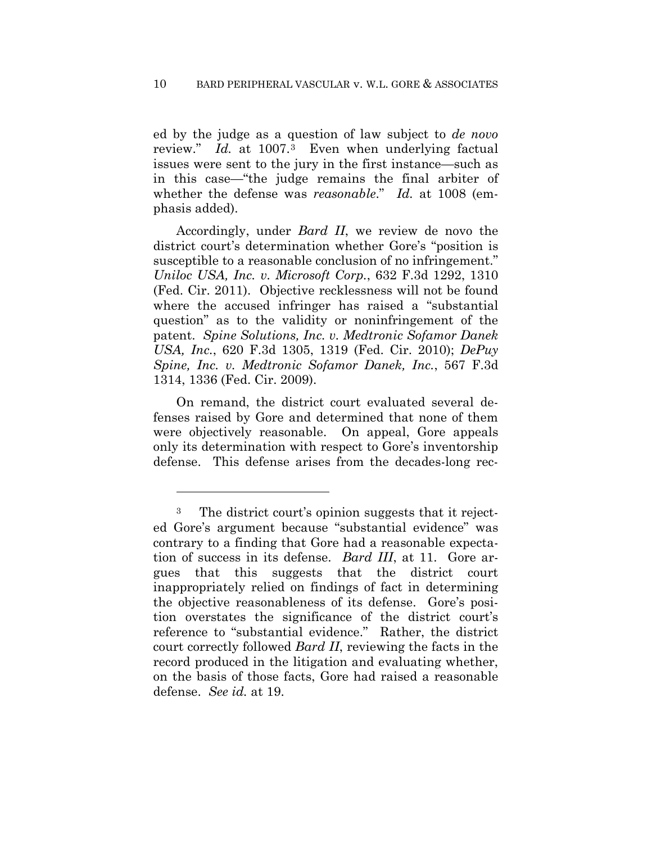ed by the judge as a question of law subject to *de novo* review." *Id.* at 1007.3 Even when underlying factual issues were sent to the jury in the first instance—such as in this case—"the judge remains the final arbiter of whether the defense was *reasonable*." *Id.* at 1008 (emphasis added).

Accordingly, under *Bard II*, we review de novo the district court's determination whether Gore's "position is susceptible to a reasonable conclusion of no infringement." *Uniloc USA, Inc. v. Microsoft Corp.*, 632 F.3d 1292, 1310 (Fed. Cir. 2011). Objective recklessness will not be found where the accused infringer has raised a "substantial question" as to the validity or noninfringement of the patent. *Spine Solutions, Inc. v. Medtronic Sofamor Danek USA, Inc.*, 620 F.3d 1305, 1319 (Fed. Cir. 2010); *DePuy Spine, Inc. v. Medtronic Sofamor Danek, Inc.*, 567 F.3d 1314, 1336 (Fed. Cir. 2009).

On remand, the district court evaluated several defenses raised by Gore and determined that none of them were objectively reasonable. On appeal, Gore appeals only its determination with respect to Gore's inventorship defense. This defense arises from the decades-long rec-

<u>.</u>

<sup>3</sup> The district court's opinion suggests that it rejected Gore's argument because "substantial evidence" was contrary to a finding that Gore had a reasonable expectation of success in its defense. *Bard III*, at 11. Gore argues that this suggests that the district court inappropriately relied on findings of fact in determining the objective reasonableness of its defense. Gore's position overstates the significance of the district court's reference to "substantial evidence." Rather, the district court correctly followed *Bard II*, reviewing the facts in the record produced in the litigation and evaluating whether, on the basis of those facts, Gore had raised a reasonable defense. *See id.* at 19.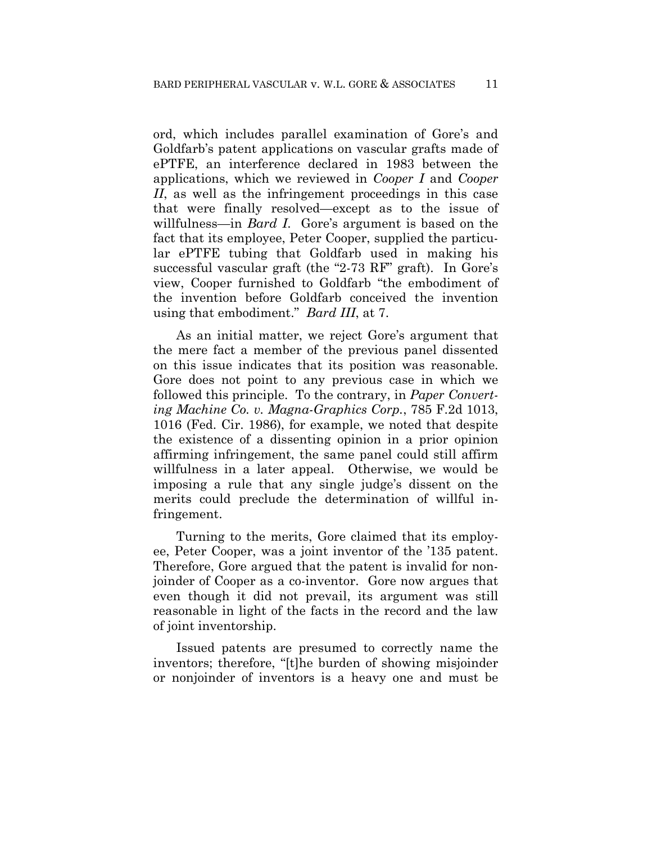ord, which includes parallel examination of Gore's and Goldfarb's patent applications on vascular grafts made of ePTFE, an interference declared in 1983 between the applications, which we reviewed in *Cooper I* and *Cooper II*, as well as the infringement proceedings in this case that were finally resolved—except as to the issue of willfulness—in *Bard I*. Gore's argument is based on the fact that its employee, Peter Cooper, supplied the particular ePTFE tubing that Goldfarb used in making his successful vascular graft (the "2-73 RF" graft). In Gore's view, Cooper furnished to Goldfarb "the embodiment of the invention before Goldfarb conceived the invention using that embodiment." *Bard III*, at 7.

As an initial matter, we reject Gore's argument that the mere fact a member of the previous panel dissented on this issue indicates that its position was reasonable. Gore does not point to any previous case in which we followed this principle. To the contrary, in *Paper Converting Machine Co. v. Magna-Graphics Corp.*, 785 F.2d 1013, 1016 (Fed. Cir. 1986), for example, we noted that despite the existence of a dissenting opinion in a prior opinion affirming infringement, the same panel could still affirm willfulness in a later appeal. Otherwise, we would be imposing a rule that any single judge's dissent on the merits could preclude the determination of willful infringement.

Turning to the merits, Gore claimed that its employee, Peter Cooper, was a joint inventor of the '135 patent. Therefore, Gore argued that the patent is invalid for nonjoinder of Cooper as a co-inventor. Gore now argues that even though it did not prevail, its argument was still reasonable in light of the facts in the record and the law of joint inventorship.

Issued patents are presumed to correctly name the inventors; therefore, "[t]he burden of showing misjoinder or nonjoinder of inventors is a heavy one and must be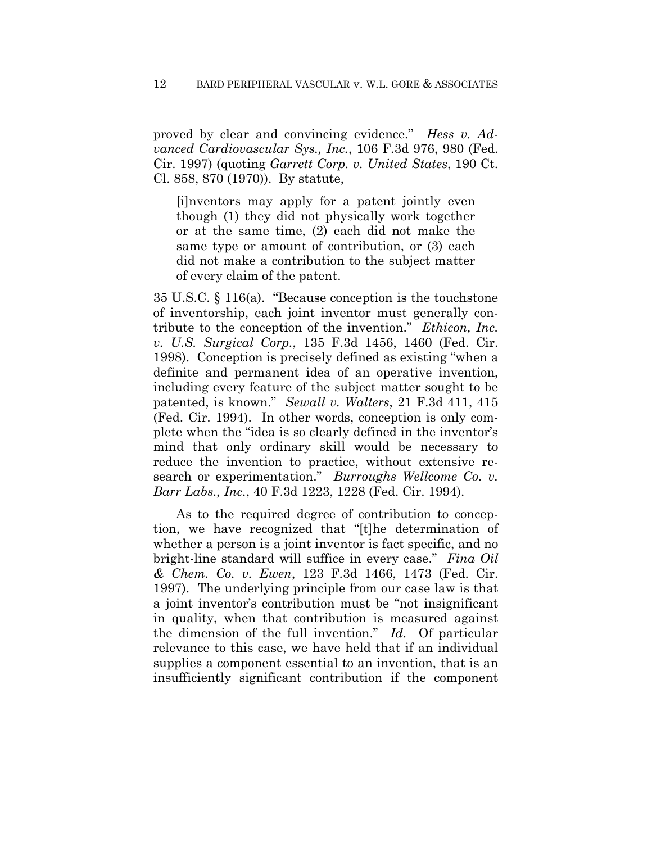proved by clear and convincing evidence." *Hess v. Advanced Cardiovascular Sys., Inc.*, 106 F.3d 976, 980 (Fed. Cir. 1997) (quoting *Garrett Corp. v. United States*, 190 Ct. Cl. 858, 870 (1970)). By statute,

[i]nventors may apply for a patent jointly even though (1) they did not physically work together or at the same time, (2) each did not make the same type or amount of contribution, or (3) each did not make a contribution to the subject matter of every claim of the patent.

35 U.S.C. § 116(a). "Because conception is the touchstone of inventorship, each joint inventor must generally contribute to the conception of the invention." *Ethicon, Inc. v. U.S. Surgical Corp.*, 135 F.3d 1456, 1460 (Fed. Cir. 1998). Conception is precisely defined as existing "when a definite and permanent idea of an operative invention, including every feature of the subject matter sought to be patented, is known." *Sewall v. Walters*, 21 F.3d 411, 415 (Fed. Cir. 1994). In other words, conception is only complete when the "idea is so clearly defined in the inventor's mind that only ordinary skill would be necessary to reduce the invention to practice, without extensive research or experimentation." *Burroughs Wellcome Co. v. Barr Labs., Inc.*, 40 F.3d 1223, 1228 (Fed. Cir. 1994).

As to the required degree of contribution to conception, we have recognized that "[t]he determination of whether a person is a joint inventor is fact specific, and no bright-line standard will suffice in every case." *Fina Oil & Chem. Co. v. Ewen*, 123 F.3d 1466, 1473 (Fed. Cir. 1997). The underlying principle from our case law is that a joint inventor's contribution must be "not insignificant in quality, when that contribution is measured against the dimension of the full invention." *Id.* Of particular relevance to this case, we have held that if an individual supplies a component essential to an invention, that is an insufficiently significant contribution if the component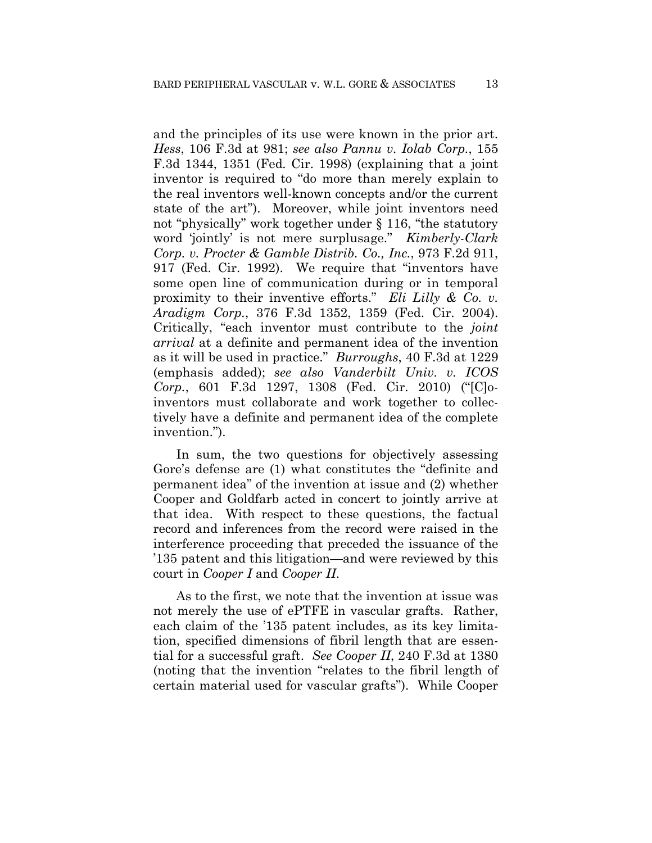and the principles of its use were known in the prior art. *Hess*, 106 F.3d at 981; *see also Pannu v. Iolab Corp.*, 155 F.3d 1344, 1351 (Fed. Cir. 1998) (explaining that a joint inventor is required to "do more than merely explain to the real inventors well-known concepts and/or the current state of the art"). Moreover, while joint inventors need not "physically" work together under § 116, "the statutory word 'jointly' is not mere surplusage." *Kimberly-Clark Corp. v. Procter & Gamble Distrib. Co., Inc.*, 973 F.2d 911, 917 (Fed. Cir. 1992). We require that "inventors have some open line of communication during or in temporal proximity to their inventive efforts." *Eli Lilly & Co. v. Aradigm Corp.*, 376 F.3d 1352, 1359 (Fed. Cir. 2004). Critically, "each inventor must contribute to the *joint arrival* at a definite and permanent idea of the invention as it will be used in practice." *Burroughs*, 40 F.3d at 1229 (emphasis added); *see also Vanderbilt Univ. v. ICOS Corp.*, 601 F.3d 1297, 1308 (Fed. Cir. 2010) ("[C]oinventors must collaborate and work together to collectively have a definite and permanent idea of the complete invention.").

In sum, the two questions for objectively assessing Gore's defense are (1) what constitutes the "definite and permanent idea" of the invention at issue and (2) whether Cooper and Goldfarb acted in concert to jointly arrive at that idea. With respect to these questions, the factual record and inferences from the record were raised in the interference proceeding that preceded the issuance of the '135 patent and this litigation—and were reviewed by this court in *Cooper I* and *Cooper II*.

As to the first, we note that the invention at issue was not merely the use of ePTFE in vascular grafts. Rather, each claim of the '135 patent includes, as its key limitation, specified dimensions of fibril length that are essential for a successful graft. *See Cooper II*, 240 F.3d at 1380 (noting that the invention "relates to the fibril length of certain material used for vascular grafts"). While Cooper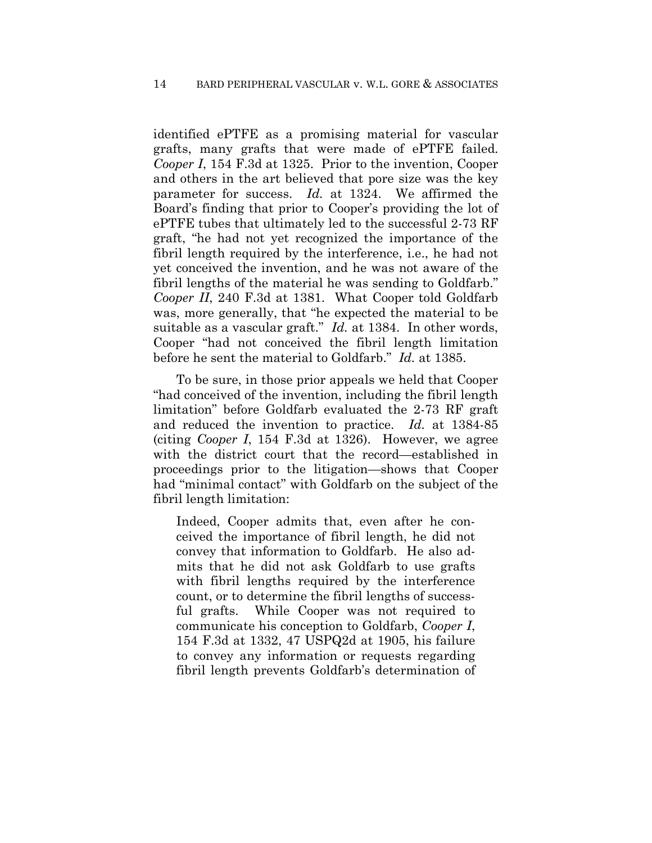identified ePTFE as a promising material for vascular grafts, many grafts that were made of ePTFE failed. *Cooper I*, 154 F.3d at 1325. Prior to the invention, Cooper and others in the art believed that pore size was the key parameter for success. *Id.* at 1324. We affirmed the Board's finding that prior to Cooper's providing the lot of ePTFE tubes that ultimately led to the successful 2-73 RF graft, "he had not yet recognized the importance of the fibril length required by the interference, i.e., he had not yet conceived the invention, and he was not aware of the fibril lengths of the material he was sending to Goldfarb." *Cooper II*, 240 F.3d at 1381. What Cooper told Goldfarb was, more generally, that "he expected the material to be suitable as a vascular graft." *Id.* at 1384. In other words, Cooper "had not conceived the fibril length limitation before he sent the material to Goldfarb." *Id.* at 1385.

To be sure, in those prior appeals we held that Cooper "had conceived of the invention, including the fibril length limitation" before Goldfarb evaluated the 2-73 RF graft and reduced the invention to practice. *Id.* at 1384-85 (citing *Cooper I*, 154 F.3d at 1326). However, we agree with the district court that the record—established in proceedings prior to the litigation—shows that Cooper had "minimal contact" with Goldfarb on the subject of the fibril length limitation:

Indeed, Cooper admits that, even after he conceived the importance of fibril length, he did not convey that information to Goldfarb. He also admits that he did not ask Goldfarb to use grafts with fibril lengths required by the interference count, or to determine the fibril lengths of successful grafts. While Cooper was not required to communicate his conception to Goldfarb, *Cooper I*, 154 F.3d at 1332, 47 USPQ2d at 1905, his failure to convey any information or requests regarding fibril length prevents Goldfarb's determination of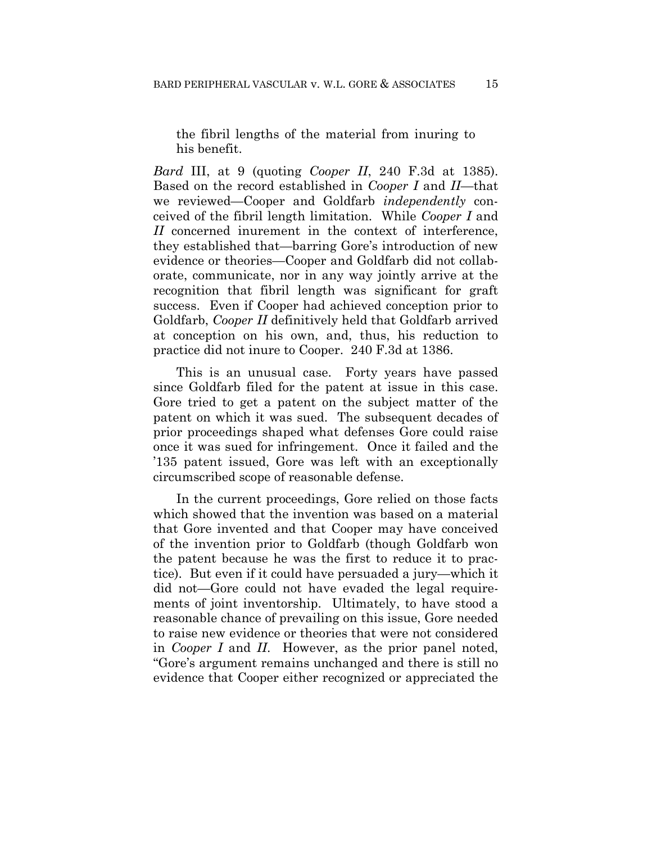the fibril lengths of the material from inuring to his benefit.

*Bard* III, at 9 (quoting *Cooper II*, 240 F.3d at 1385). Based on the record established in *Cooper I* and *II*—that we reviewed—Cooper and Goldfarb *independently* conceived of the fibril length limitation. While *Cooper I* and *II* concerned inurement in the context of interference, they established that—barring Gore's introduction of new evidence or theories—Cooper and Goldfarb did not collaborate, communicate, nor in any way jointly arrive at the recognition that fibril length was significant for graft success. Even if Cooper had achieved conception prior to Goldfarb, *Cooper II* definitively held that Goldfarb arrived at conception on his own, and, thus, his reduction to practice did not inure to Cooper. 240 F.3d at 1386.

This is an unusual case. Forty years have passed since Goldfarb filed for the patent at issue in this case. Gore tried to get a patent on the subject matter of the patent on which it was sued. The subsequent decades of prior proceedings shaped what defenses Gore could raise once it was sued for infringement. Once it failed and the '135 patent issued, Gore was left with an exceptionally circumscribed scope of reasonable defense.

In the current proceedings, Gore relied on those facts which showed that the invention was based on a material that Gore invented and that Cooper may have conceived of the invention prior to Goldfarb (though Goldfarb won the patent because he was the first to reduce it to practice). But even if it could have persuaded a jury—which it did not—Gore could not have evaded the legal requirements of joint inventorship. Ultimately, to have stood a reasonable chance of prevailing on this issue, Gore needed to raise new evidence or theories that were not considered in *Cooper I* and *II*. However, as the prior panel noted, "Gore's argument remains unchanged and there is still no evidence that Cooper either recognized or appreciated the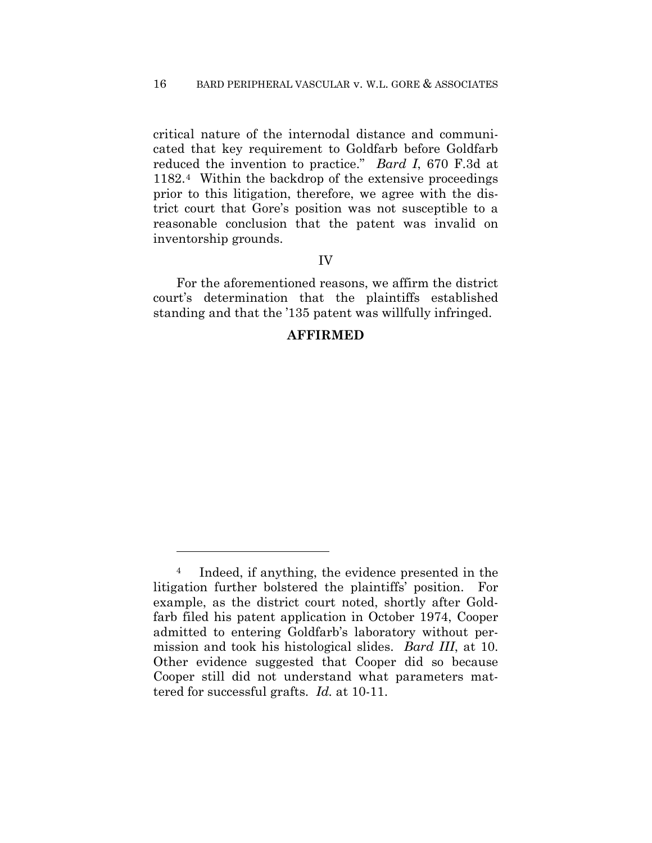critical nature of the internodal distance and communicated that key requirement to Goldfarb before Goldfarb reduced the invention to practice." *Bard I*, 670 F.3d at 1182.4 Within the backdrop of the extensive proceedings prior to this litigation, therefore, we agree with the district court that Gore's position was not susceptible to a reasonable conclusion that the patent was invalid on inventorship grounds.

### IV

For the aforementioned reasons, we affirm the district court's determination that the plaintiffs established standing and that the '135 patent was willfully infringed.

### **AFFIRMED**

1

<sup>4</sup> Indeed, if anything, the evidence presented in the litigation further bolstered the plaintiffs' position. For example, as the district court noted, shortly after Goldfarb filed his patent application in October 1974, Cooper admitted to entering Goldfarb's laboratory without permission and took his histological slides. *Bard III*, at 10. Other evidence suggested that Cooper did so because Cooper still did not understand what parameters mattered for successful grafts. *Id.* at 10-11.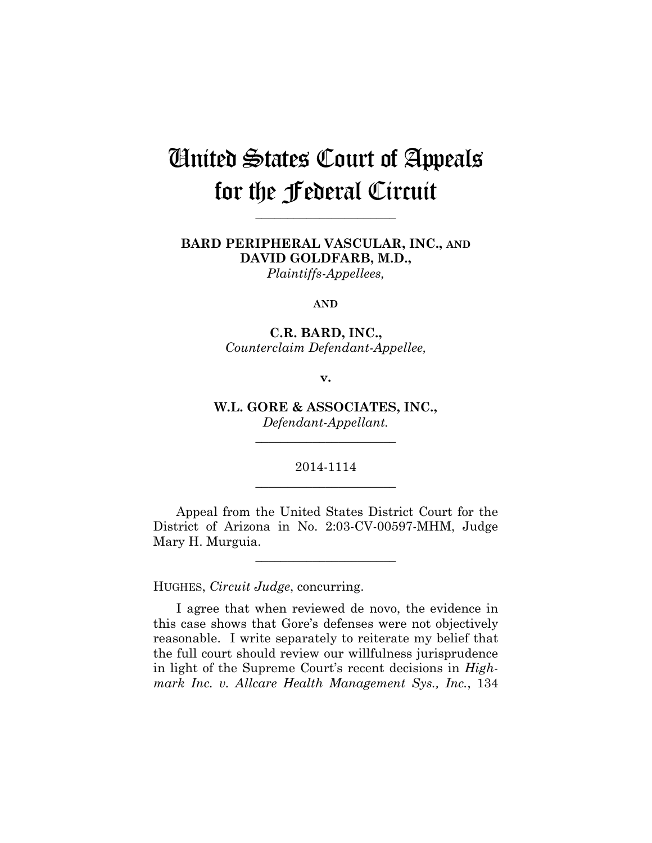# United States Court of Appeals for the Federal Circuit

**\_\_\_\_\_\_\_\_\_\_\_\_\_\_\_\_\_\_\_\_\_\_** 

## **BARD PERIPHERAL VASCULAR, INC., AND DAVID GOLDFARB, M.D.,**

*Plaintiffs-Appellees,* 

### **AND**

### **C.R. BARD, INC.,** *Counterclaim Defendant-Appellee,*

### **v.**

**W.L. GORE & ASSOCIATES, INC.,** *Defendant-Appellant.*

\_\_\_\_\_\_\_\_\_\_\_\_\_\_\_\_\_\_\_\_\_\_

### 2014-1114 **\_\_\_\_\_\_\_\_\_\_\_\_\_\_\_\_\_\_\_\_\_\_**

Appeal from the United States District Court for the District of Arizona in No. 2:03-CV-00597-MHM, Judge Mary H. Murguia.

**\_\_\_\_\_\_\_\_\_\_\_\_\_\_\_\_\_\_\_\_\_\_** 

HUGHES, *Circuit Judge*, concurring.

I agree that when reviewed de novo, the evidence in this case shows that Gore's defenses were not objectively reasonable. I write separately to reiterate my belief that the full court should review our willfulness jurisprudence in light of the Supreme Court's recent decisions in *Highmark Inc. v. Allcare Health Management Sys., Inc.*, 134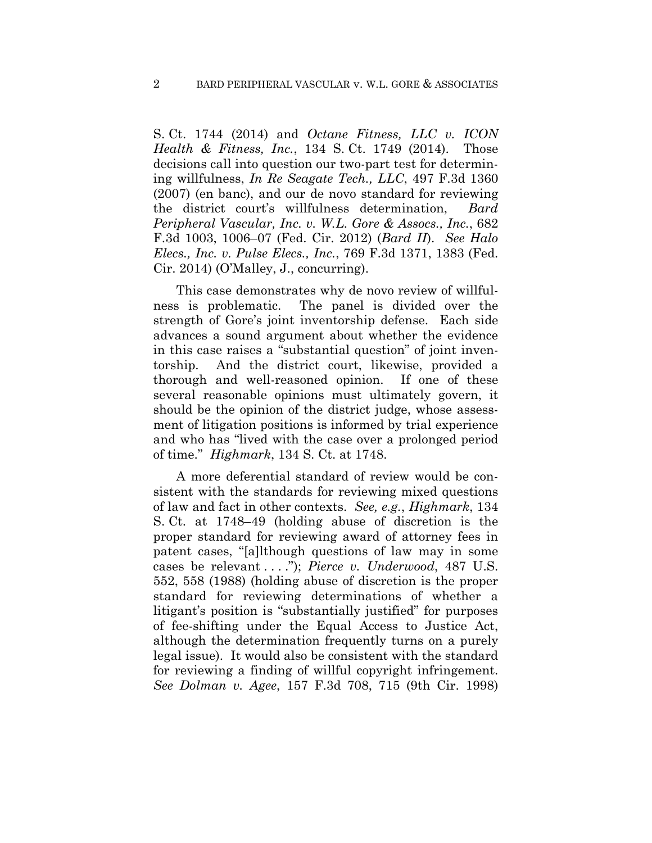S. Ct. 1744 (2014) and *Octane Fitness, LLC v. ICON Health & Fitness, Inc.*, 134 S. Ct. 1749 (2014). Those decisions call into question our two-part test for determining willfulness, *In Re Seagate Tech., LLC*, 497 F.3d 1360 (2007) (en banc), and our de novo standard for reviewing the district court's willfulness determination, *Bard Peripheral Vascular, Inc. v. W.L. Gore & Assocs., Inc.*, 682 F.3d 1003, 1006–07 (Fed. Cir. 2012) (*Bard II*). *See Halo Elecs., Inc. v. Pulse Elecs., Inc.*, 769 F.3d 1371, 1383 (Fed. Cir. 2014) (O'Malley, J., concurring).

This case demonstrates why de novo review of willfulness is problematic. The panel is divided over the strength of Gore's joint inventorship defense. Each side advances a sound argument about whether the evidence in this case raises a "substantial question" of joint inventorship. And the district court, likewise, provided a thorough and well-reasoned opinion. If one of these several reasonable opinions must ultimately govern, it should be the opinion of the district judge, whose assessment of litigation positions is informed by trial experience and who has "lived with the case over a prolonged period of time." *Highmark*, 134 S. Ct. at 1748.

A more deferential standard of review would be consistent with the standards for reviewing mixed questions of law and fact in other contexts. *See, e.g.*, *Highmark*, 134 S. Ct. at 1748–49 (holding abuse of discretion is the proper standard for reviewing award of attorney fees in patent cases, "[a]lthough questions of law may in some cases be relevant . . . ."); *Pierce v. Underwood*, 487 U.S. 552, 558 (1988) (holding abuse of discretion is the proper standard for reviewing determinations of whether a litigant's position is "substantially justified" for purposes of fee-shifting under the Equal Access to Justice Act, although the determination frequently turns on a purely legal issue). It would also be consistent with the standard for reviewing a finding of willful copyright infringement. *See Dolman v. Agee*, 157 F.3d 708, 715 (9th Cir. 1998)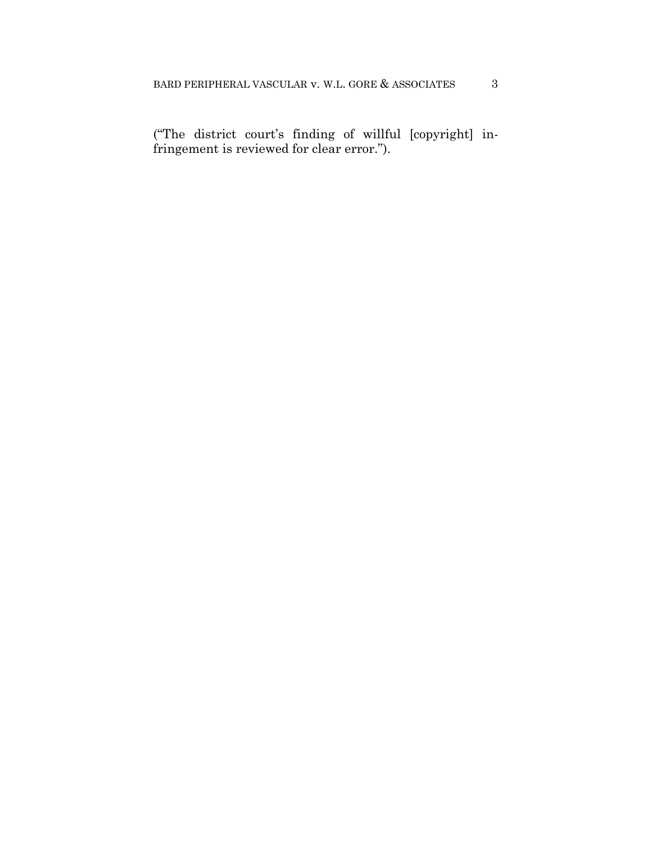("The district court's finding of willful [copyright] infringement is reviewed for clear error.").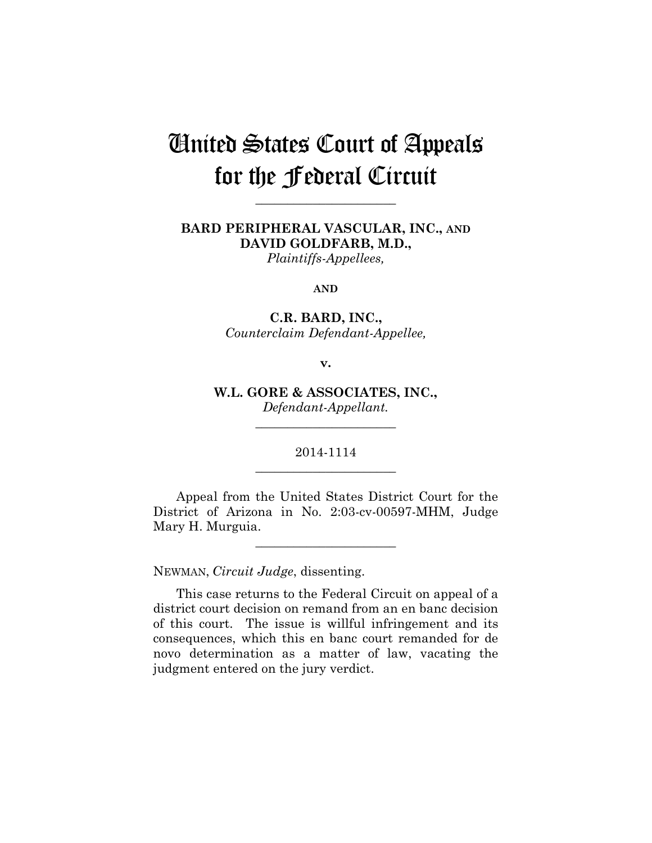# United States Court of Appeals for the Federal Circuit

**\_\_\_\_\_\_\_\_\_\_\_\_\_\_\_\_\_\_\_\_\_\_** 

### **BARD PERIPHERAL VASCULAR, INC., AND DAVID GOLDFARB, M.D.,**  *Plaintiffs-Appellees,*

**AND**

**C.R. BARD, INC.,** *Counterclaim Defendant-Appellee,*

**v.**

**W.L. GORE & ASSOCIATES, INC.,** *Defendant-Appellant.*

\_\_\_\_\_\_\_\_\_\_\_\_\_\_\_\_\_\_\_\_\_\_

### 2014-1114 **\_\_\_\_\_\_\_\_\_\_\_\_\_\_\_\_\_\_\_\_\_\_**

Appeal from the United States District Court for the District of Arizona in No. 2:03-cv-00597-MHM, Judge Mary H. Murguia.

**\_\_\_\_\_\_\_\_\_\_\_\_\_\_\_\_\_\_\_\_\_\_** 

NEWMAN, *Circuit Judge*, dissenting.

This case returns to the Federal Circuit on appeal of a district court decision on remand from an en banc decision of this court. The issue is willful infringement and its consequences, which this en banc court remanded for de novo determination as a matter of law, vacating the judgment entered on the jury verdict.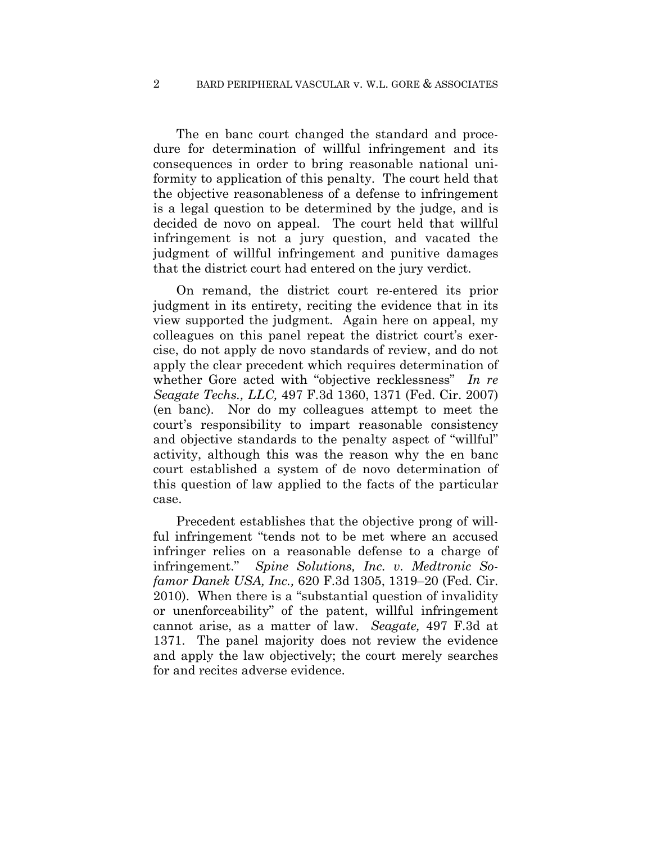### 2 BARD PERIPHERAL VASCULAR v. W.L. GORE & ASSOCIATES

The en banc court changed the standard and procedure for determination of willful infringement and its consequences in order to bring reasonable national uniformity to application of this penalty. The court held that the objective reasonableness of a defense to infringement is a legal question to be determined by the judge, and is decided de novo on appeal. The court held that willful infringement is not a jury question, and vacated the judgment of willful infringement and punitive damages that the district court had entered on the jury verdict.

On remand, the district court re-entered its prior judgment in its entirety, reciting the evidence that in its view supported the judgment. Again here on appeal, my colleagues on this panel repeat the district court's exercise, do not apply de novo standards of review, and do not apply the clear precedent which requires determination of whether Gore acted with "objective recklessness" *In re Seagate Techs., LLC,* 497 F.3d 1360, 1371 (Fed. Cir. 2007) (en banc). Nor do my colleagues attempt to meet the court's responsibility to impart reasonable consistency and objective standards to the penalty aspect of "willful" activity, although this was the reason why the en banc court established a system of de novo determination of this question of law applied to the facts of the particular case.

Precedent establishes that the objective prong of willful infringement "tends not to be met where an accused infringer relies on a reasonable defense to a charge of infringement." *Spine Solutions, Inc. v. Medtronic Sofamor Danek USA, Inc.,* 620 F.3d 1305, 1319–20 (Fed. Cir. 2010). When there is a "substantial question of invalidity or unenforceability" of the patent, willful infringement cannot arise, as a matter of law. *Seagate,* 497 F.3d at 1371. The panel majority does not review the evidence and apply the law objectively; the court merely searches for and recites adverse evidence.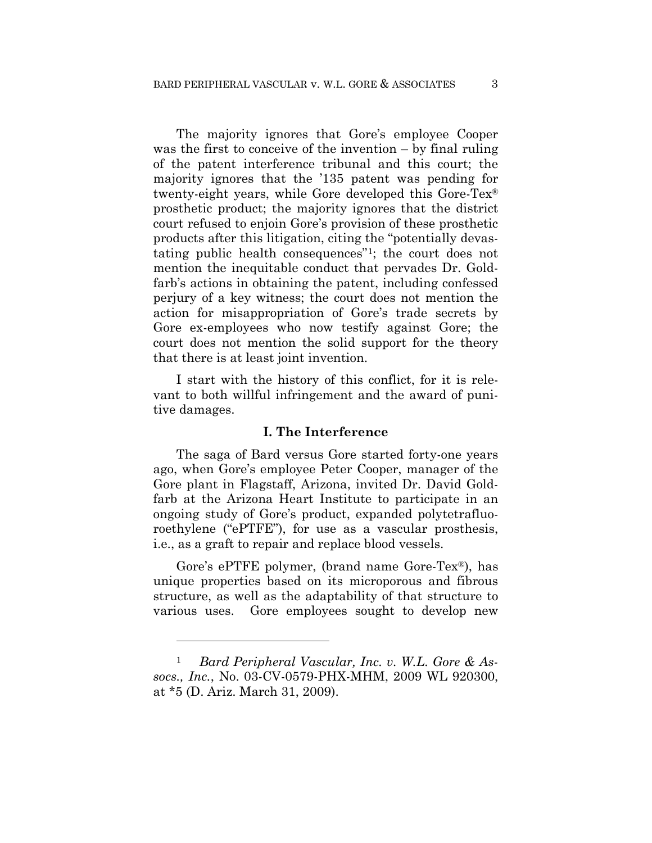The majority ignores that Gore's employee Cooper was the first to conceive of the invention – by final ruling of the patent interference tribunal and this court; the majority ignores that the '135 patent was pending for twenty-eight years, while Gore developed this Gore-Tex® prosthetic product; the majority ignores that the district court refused to enjoin Gore's provision of these prosthetic products after this litigation, citing the "potentially devastating public health consequences"1; the court does not mention the inequitable conduct that pervades Dr. Goldfarb's actions in obtaining the patent, including confessed perjury of a key witness; the court does not mention the action for misappropriation of Gore's trade secrets by Gore ex-employees who now testify against Gore; the court does not mention the solid support for the theory that there is at least joint invention.

I start with the history of this conflict, for it is relevant to both willful infringement and the award of punitive damages.

### **I. The Interference**

The saga of Bard versus Gore started forty-one years ago, when Gore's employee Peter Cooper, manager of the Gore plant in Flagstaff, Arizona, invited Dr. David Goldfarb at the Arizona Heart Institute to participate in an ongoing study of Gore's product, expanded polytetrafluoroethylene ("ePTFE"), for use as a vascular prosthesis, i.e., as a graft to repair and replace blood vessels.

Gore's ePTFE polymer, (brand name Gore-Tex®), has unique properties based on its microporous and fibrous structure, as well as the adaptability of that structure to various uses. Gore employees sought to develop new

1

<sup>1</sup> *Bard Peripheral Vascular, Inc. v. W.L. Gore & Assocs., Inc.*, No. 03-CV-0579-PHX-MHM, 2009 WL 920300, at \*5 (D. Ariz. March 31, 2009).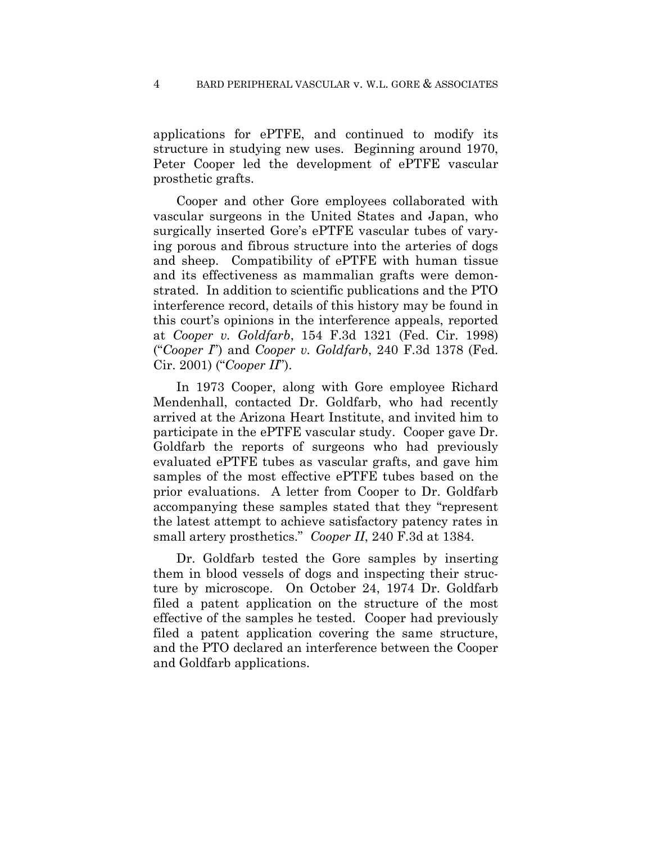applications for ePTFE, and continued to modify its structure in studying new uses. Beginning around 1970, Peter Cooper led the development of ePTFE vascular prosthetic grafts.

Cooper and other Gore employees collaborated with vascular surgeons in the United States and Japan, who surgically inserted Gore's ePTFE vascular tubes of varying porous and fibrous structure into the arteries of dogs and sheep. Compatibility of ePTFE with human tissue and its effectiveness as mammalian grafts were demonstrated. In addition to scientific publications and the PTO interference record, details of this history may be found in this court's opinions in the interference appeals, reported at *Cooper v. Goldfarb*, 154 F.3d 1321 (Fed. Cir. 1998) ("*Cooper I*") and *Cooper v. Goldfarb*, 240 F.3d 1378 (Fed. Cir. 2001) ("*Cooper II*").

In 1973 Cooper, along with Gore employee Richard Mendenhall, contacted Dr. Goldfarb, who had recently arrived at the Arizona Heart Institute, and invited him to participate in the ePTFE vascular study. Cooper gave Dr. Goldfarb the reports of surgeons who had previously evaluated ePTFE tubes as vascular grafts, and gave him samples of the most effective ePTFE tubes based on the prior evaluations. A letter from Cooper to Dr. Goldfarb accompanying these samples stated that they "represent the latest attempt to achieve satisfactory patency rates in small artery prosthetics." *Cooper II*, 240 F.3d at 1384.

Dr. Goldfarb tested the Gore samples by inserting them in blood vessels of dogs and inspecting their structure by microscope. On October 24, 1974 Dr. Goldfarb filed a patent application on the structure of the most effective of the samples he tested. Cooper had previously filed a patent application covering the same structure, and the PTO declared an interference between the Cooper and Goldfarb applications.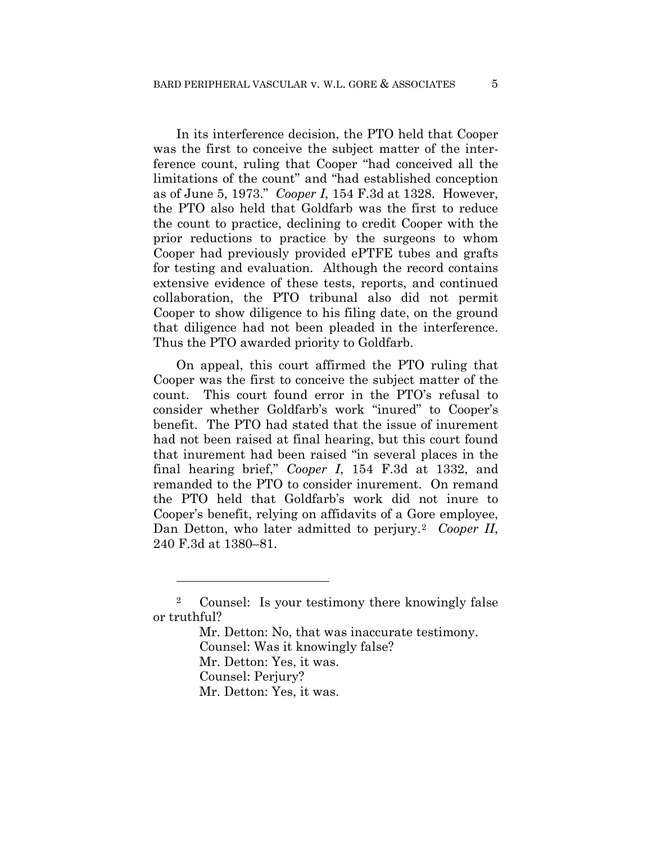In its interference decision, the PTO held that Cooper was the first to conceive the subject matter of the interference count, ruling that Cooper "had conceived all the limitations of the count" and "had established conception as of June 5, 1973." *Cooper I*, 154 F.3d at 1328. However, the PTO also held that Goldfarb was the first to reduce the count to practice, declining to credit Cooper with the prior reductions to practice by the surgeons to whom Cooper had previously provided ePTFE tubes and grafts for testing and evaluation. Although the record contains extensive evidence of these tests, reports, and continued collaboration, the PTO tribunal also did not permit Cooper to show diligence to his filing date, on the ground that diligence had not been pleaded in the interference. Thus the PTO awarded priority to Goldfarb.

On appeal, this court affirmed the PTO ruling that Cooper was the first to conceive the subject matter of the count. This court found error in the PTO's refusal to consider whether Goldfarb's work "inured" to Cooper's benefit. The PTO had stated that the issue of inurement had not been raised at final hearing, but this court found that inurement had been raised "in several places in the final hearing brief," *Cooper I*, 154 F.3d at 1332, and remanded to the PTO to consider inurement. On remand the PTO held that Goldfarb's work did not inure to Cooper's benefit, relying on affidavits of a Gore employee, Dan Detton, who later admitted to perjury.2 *Cooper II*, 240 F.3d at 1380–81.

<u>.</u>

<sup>2</sup> Counsel: Is your testimony there knowingly false or truthful?

Mr. Detton: No, that was inaccurate testimony.

Counsel: Was it knowingly false?

Mr. Detton: Yes, it was.

Counsel: Perjury?

Mr. Detton: Yes, it was.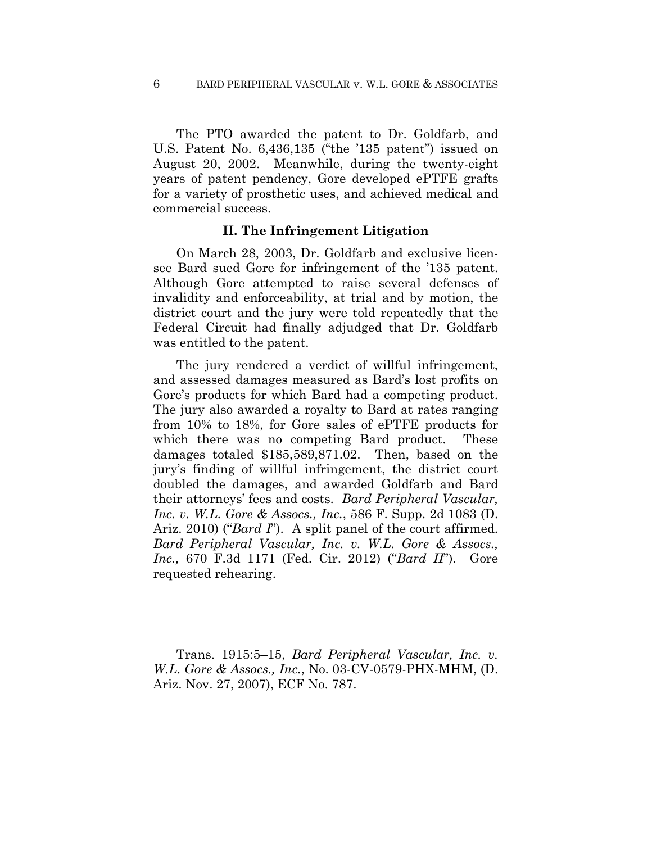The PTO awarded the patent to Dr. Goldfarb, and U.S. Patent No. 6,436,135 ("the '135 patent") issued on August 20, 2002. Meanwhile, during the twenty-eight years of patent pendency, Gore developed ePTFE grafts for a variety of prosthetic uses, and achieved medical and commercial success.

### **II. The Infringement Litigation**

On March 28, 2003, Dr. Goldfarb and exclusive licensee Bard sued Gore for infringement of the '135 patent. Although Gore attempted to raise several defenses of invalidity and enforceability, at trial and by motion, the district court and the jury were told repeatedly that the Federal Circuit had finally adjudged that Dr. Goldfarb was entitled to the patent.

The jury rendered a verdict of willful infringement, and assessed damages measured as Bard's lost profits on Gore's products for which Bard had a competing product. The jury also awarded a royalty to Bard at rates ranging from 10% to 18%, for Gore sales of ePTFE products for which there was no competing Bard product. These damages totaled \$185,589,871.02. Then, based on the jury's finding of willful infringement, the district court doubled the damages, and awarded Goldfarb and Bard their attorneys' fees and costs. *Bard Peripheral Vascular, Inc. v. W.L. Gore & Assocs., Inc.*, 586 F. Supp. 2d 1083 (D. Ariz. 2010) ("*Bard I*"). A split panel of the court affirmed. *Bard Peripheral Vascular, Inc. v. W.L. Gore & Assocs., Inc.,* 670 F.3d 1171 (Fed. Cir. 2012) ("*Bard II*"). Gore requested rehearing.

 $\overline{a}$ 

Trans. 1915:5–15, *Bard Peripheral Vascular, Inc. v. W.L. Gore & Assocs., Inc.*, No. 03-CV-0579-PHX-MHM, (D. Ariz. Nov. 27, 2007), ECF No. 787.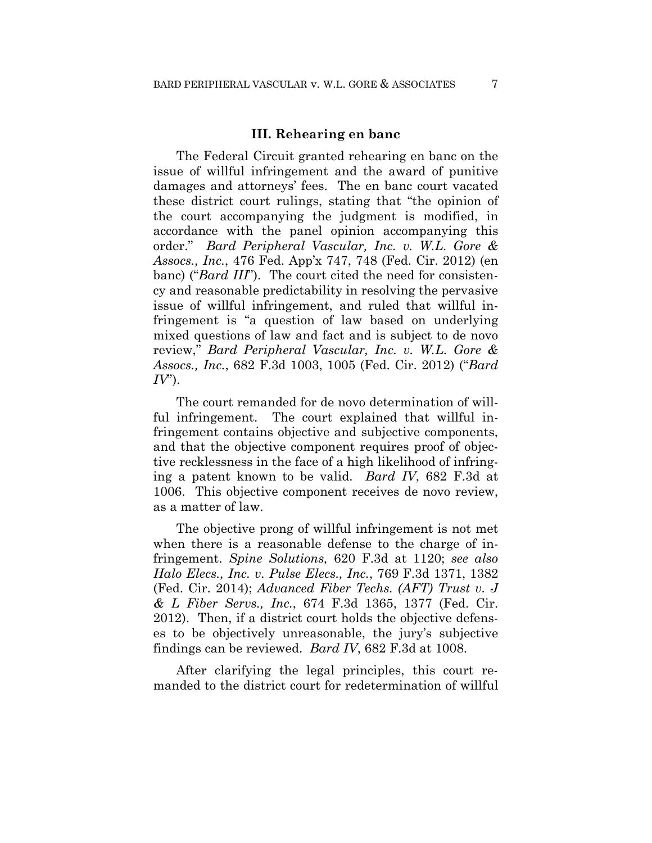#### **III. Rehearing en banc**

The Federal Circuit granted rehearing en banc on the issue of willful infringement and the award of punitive damages and attorneys' fees. The en banc court vacated these district court rulings, stating that "the opinion of the court accompanying the judgment is modified, in accordance with the panel opinion accompanying this order." *Bard Peripheral Vascular, Inc. v. W.L. Gore & Assocs., Inc.*, 476 Fed. App'x 747, 748 (Fed. Cir. 2012) (en banc) ("*Bard III*"). The court cited the need for consistency and reasonable predictability in resolving the pervasive issue of willful infringement, and ruled that willful infringement is "a question of law based on underlying mixed questions of law and fact and is subject to de novo review," *Bard Peripheral Vascular, Inc. v. W.L. Gore & Assocs., Inc.*, 682 F.3d 1003, 1005 (Fed. Cir. 2012) ("*Bard IV*").

The court remanded for de novo determination of willful infringement. The court explained that willful infringement contains objective and subjective components, and that the objective component requires proof of objective recklessness in the face of a high likelihood of infringing a patent known to be valid. *Bard IV*, 682 F.3d at 1006. This objective component receives de novo review, as a matter of law.

The objective prong of willful infringement is not met when there is a reasonable defense to the charge of infringement. *Spine Solutions,* 620 F.3d at 1120; *see also Halo Elecs., Inc. v. Pulse Elecs., Inc.*, 769 F.3d 1371, 1382 (Fed. Cir. 2014); *Advanced Fiber Techs. (AFT) Trust v. J & L Fiber Servs., Inc.*, 674 F.3d 1365, 1377 (Fed. Cir. 2012). Then, if a district court holds the objective defenses to be objectively unreasonable, the jury's subjective findings can be reviewed. *Bard IV*, 682 F.3d at 1008.

After clarifying the legal principles, this court remanded to the district court for redetermination of willful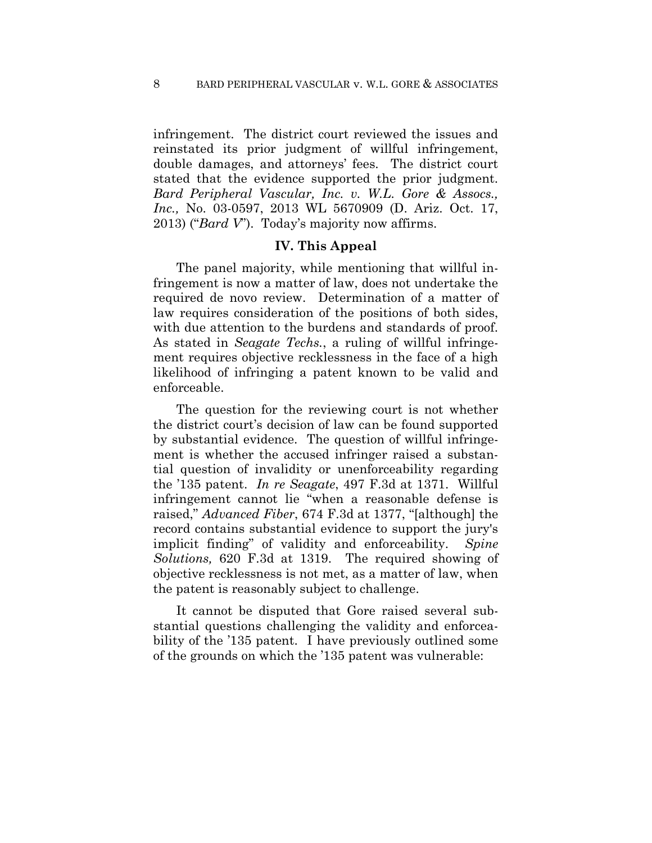infringement. The district court reviewed the issues and reinstated its prior judgment of willful infringement, double damages, and attorneys' fees. The district court stated that the evidence supported the prior judgment. *Bard Peripheral Vascular, Inc. v. W.L. Gore & Assocs., Inc.,* No. 03-0597, 2013 WL 5670909 (D. Ariz. Oct. 17, 2013) ("*Bard V*"). Today's majority now affirms.

### **IV. This Appeal**

The panel majority, while mentioning that willful infringement is now a matter of law, does not undertake the required de novo review. Determination of a matter of law requires consideration of the positions of both sides, with due attention to the burdens and standards of proof. As stated in *Seagate Techs.*, a ruling of willful infringement requires objective recklessness in the face of a high likelihood of infringing a patent known to be valid and enforceable.

The question for the reviewing court is not whether the district court's decision of law can be found supported by substantial evidence. The question of willful infringement is whether the accused infringer raised a substantial question of invalidity or unenforceability regarding the '135 patent. *In re Seagate*, 497 F.3d at 1371. Willful infringement cannot lie "when a reasonable defense is raised," *Advanced Fiber*, 674 F.3d at 1377, "[although] the record contains substantial evidence to support the jury's implicit finding" of validity and enforceability. *Spine Solutions,* 620 F.3d at 1319. The required showing of objective recklessness is not met, as a matter of law, when the patent is reasonably subject to challenge.

It cannot be disputed that Gore raised several substantial questions challenging the validity and enforceability of the '135 patent.I have previously outlined some of the grounds on which the '135 patent was vulnerable: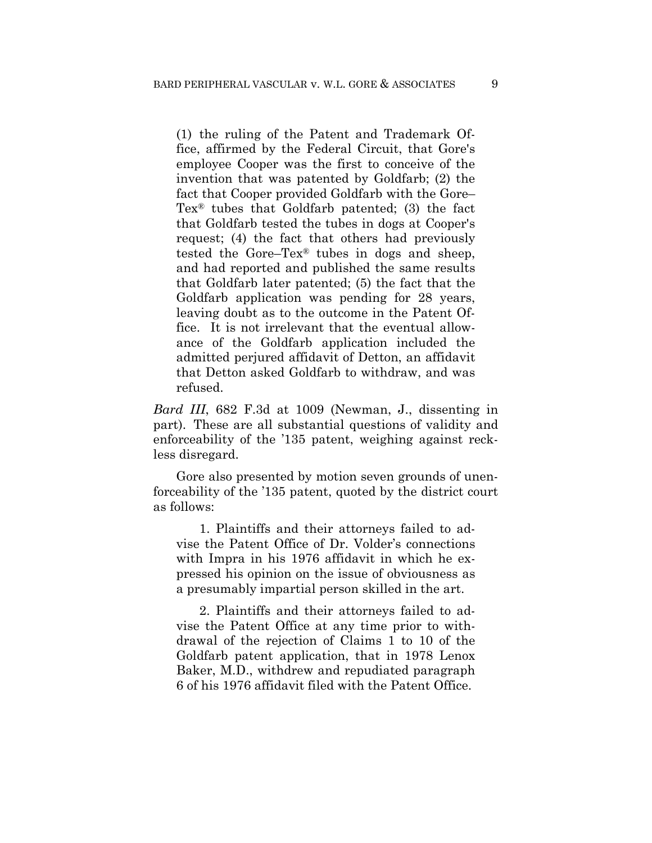(1) the ruling of the Patent and Trademark Office, affirmed by the Federal Circuit, that Gore's employee Cooper was the first to conceive of the invention that was patented by Goldfarb; (2) the fact that Cooper provided Goldfarb with the Gore– Tex® tubes that Goldfarb patented; (3) the fact that Goldfarb tested the tubes in dogs at Cooper's request; (4) the fact that others had previously tested the Gore–Tex® tubes in dogs and sheep, and had reported and published the same results that Goldfarb later patented; (5) the fact that the Goldfarb application was pending for 28 years, leaving doubt as to the outcome in the Patent Office. It is not irrelevant that the eventual allowance of the Goldfarb application included the admitted perjured affidavit of Detton, an affidavit that Detton asked Goldfarb to withdraw, and was refused.

*Bard III*, 682 F.3d at 1009 (Newman, J., dissenting in part). These are all substantial questions of validity and enforceability of the '135 patent, weighing against reckless disregard.

Gore also presented by motion seven grounds of unenforceability of the '135 patent, quoted by the district court as follows:

1. Plaintiffs and their attorneys failed to advise the Patent Office of Dr. Volder's connections with Impra in his 1976 affidavit in which he expressed his opinion on the issue of obviousness as a presumably impartial person skilled in the art.

2. Plaintiffs and their attorneys failed to advise the Patent Office at any time prior to withdrawal of the rejection of Claims 1 to 10 of the Goldfarb patent application, that in 1978 Lenox Baker, M.D., withdrew and repudiated paragraph 6 of his 1976 affidavit filed with the Patent Office.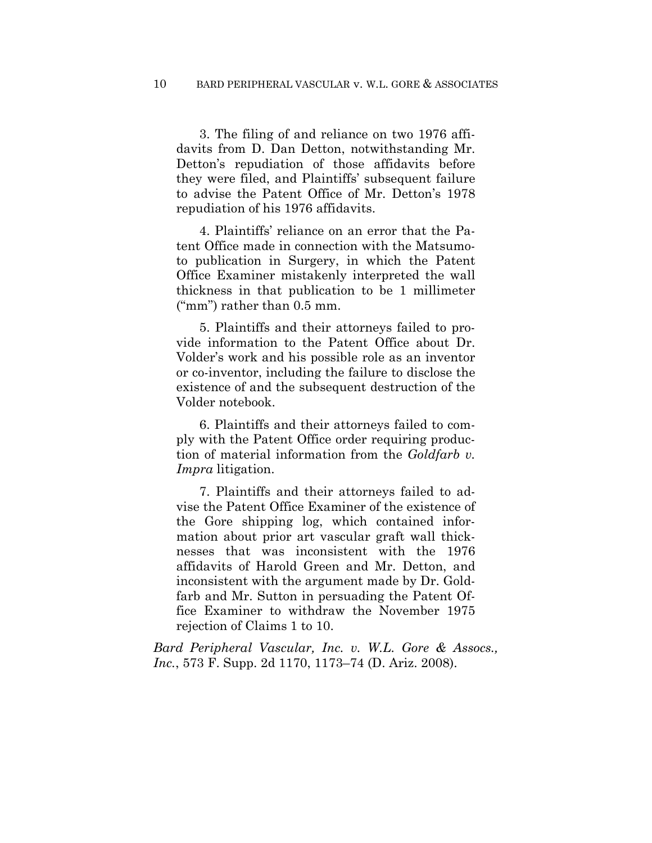3. The filing of and reliance on two 1976 affidavits from D. Dan Detton, notwithstanding Mr. Detton's repudiation of those affidavits before they were filed, and Plaintiffs' subsequent failure to advise the Patent Office of Mr. Detton's 1978 repudiation of his 1976 affidavits.

4. Plaintiffs' reliance on an error that the Patent Office made in connection with the Matsumoto publication in Surgery, in which the Patent Office Examiner mistakenly interpreted the wall thickness in that publication to be 1 millimeter ("mm") rather than 0.5 mm.

5. Plaintiffs and their attorneys failed to provide information to the Patent Office about Dr. Volder's work and his possible role as an inventor or co-inventor, including the failure to disclose the existence of and the subsequent destruction of the Volder notebook.

6. Plaintiffs and their attorneys failed to comply with the Patent Office order requiring production of material information from the *Goldfarb v. Impra* litigation.

7. Plaintiffs and their attorneys failed to advise the Patent Office Examiner of the existence of the Gore shipping log, which contained information about prior art vascular graft wall thicknesses that was inconsistent with the 1976 affidavits of Harold Green and Mr. Detton, and inconsistent with the argument made by Dr. Goldfarb and Mr. Sutton in persuading the Patent Office Examiner to withdraw the November 1975 rejection of Claims 1 to 10.

*Bard Peripheral Vascular, Inc. v. W.L. Gore & Assocs., Inc.*, 573 F. Supp. 2d 1170, 1173–74 (D. Ariz. 2008).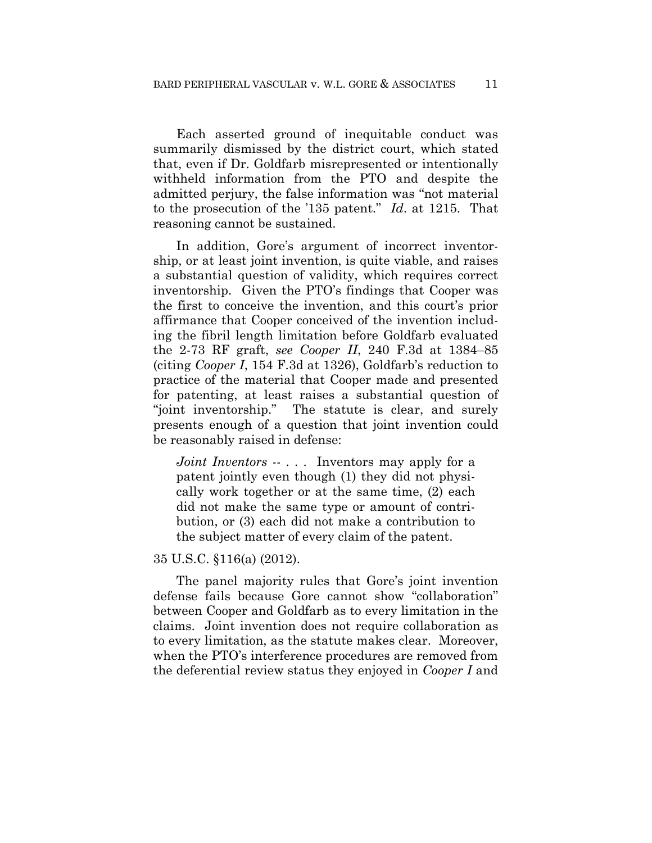Each asserted ground of inequitable conduct was summarily dismissed by the district court, which stated that, even if Dr. Goldfarb misrepresented or intentionally withheld information from the PTO and despite the admitted perjury, the false information was "not material to the prosecution of the '135 patent." *Id*. at 1215. That reasoning cannot be sustained.

In addition, Gore's argument of incorrect inventorship, or at least joint invention, is quite viable, and raises a substantial question of validity, which requires correct inventorship. Given the PTO's findings that Cooper was the first to conceive the invention, and this court's prior affirmance that Cooper conceived of the invention including the fibril length limitation before Goldfarb evaluated the 2-73 RF graft, *see Cooper II*, 240 F.3d at 1384–85 (citing *Cooper I*, 154 F.3d at 1326), Goldfarb's reduction to practice of the material that Cooper made and presented for patenting, at least raises a substantial question of "joint inventorship." The statute is clear, and surely presents enough of a question that joint invention could be reasonably raised in defense:

*Joint Inventors* -- ... Inventors may apply for a patent jointly even though (1) they did not physically work together or at the same time, (2) each did not make the same type or amount of contribution, or (3) each did not make a contribution to the subject matter of every claim of the patent.

#### 35 U.S.C. §116(a) (2012).

The panel majority rules that Gore's joint invention defense fails because Gore cannot show "collaboration" between Cooper and Goldfarb as to every limitation in the claims. Joint invention does not require collaboration as to every limitation, as the statute makes clear. Moreover, when the PTO's interference procedures are removed from the deferential review status they enjoyed in *Cooper I* and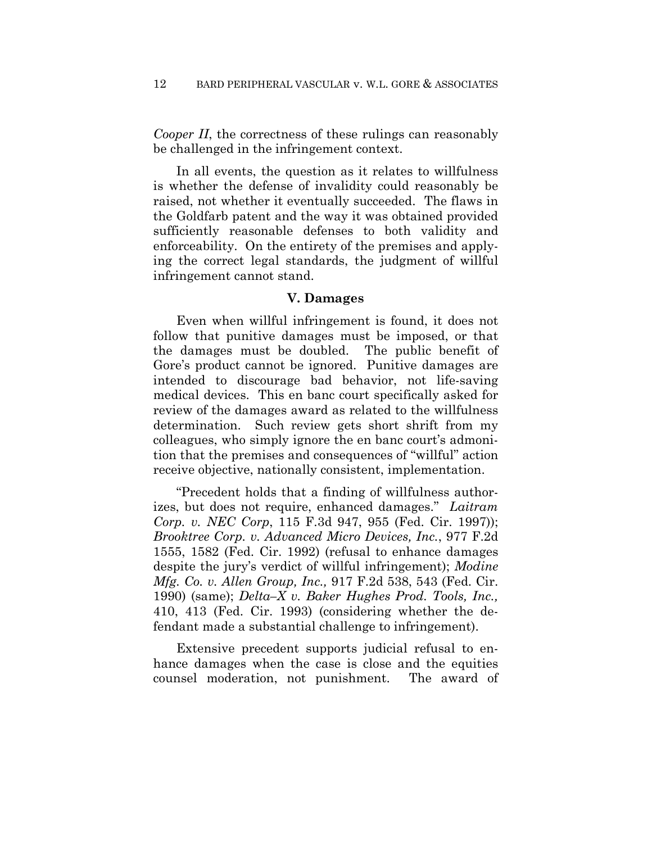*Cooper II*, the correctness of these rulings can reasonably be challenged in the infringement context.

In all events, the question as it relates to willfulness is whether the defense of invalidity could reasonably be raised, not whether it eventually succeeded. The flaws in the Goldfarb patent and the way it was obtained provided sufficiently reasonable defenses to both validity and enforceability. On the entirety of the premises and applying the correct legal standards, the judgment of willful infringement cannot stand.

### **V. Damages**

Even when willful infringement is found, it does not follow that punitive damages must be imposed, or that the damages must be doubled. The public benefit of Gore's product cannot be ignored. Punitive damages are intended to discourage bad behavior, not life-saving medical devices. This en banc court specifically asked for review of the damages award as related to the willfulness determination. Such review gets short shrift from my colleagues, who simply ignore the en banc court's admonition that the premises and consequences of "willful" action receive objective, nationally consistent, implementation.

"Precedent holds that a finding of willfulness authorizes, but does not require, enhanced damages." *Laitram Corp. v. NEC Corp*, 115 F.3d 947, 955 (Fed. Cir. 1997)); *Brooktree Corp. v. Advanced Micro Devices, Inc.*, 977 F.2d 1555, 1582 (Fed. Cir. 1992) (refusal to enhance damages despite the jury's verdict of willful infringement); *Modine Mfg. Co. v. Allen Group, Inc.,* 917 F.2d 538, 543 (Fed. Cir. 1990) (same); *Delta–X v. Baker Hughes Prod. Tools, Inc.,* 410, 413 (Fed. Cir. 1993) (considering whether the defendant made a substantial challenge to infringement).

Extensive precedent supports judicial refusal to enhance damages when the case is close and the equities counsel moderation, not punishment. The award of